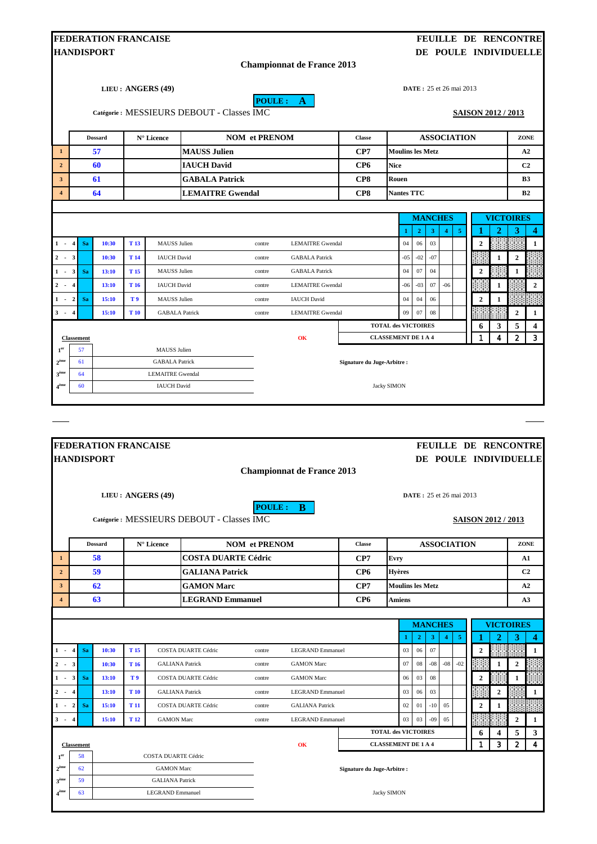|                                                                                                                                                                |                                                                                        | <b>FEDERATION FRANCAISE</b> |                 |                                              |                                           |                      |                                   |                             |                            |                                 |                               |                |       |                           |              | FEUILLE DE RENCONTRE  |                   |
|----------------------------------------------------------------------------------------------------------------------------------------------------------------|----------------------------------------------------------------------------------------|-----------------------------|-----------------|----------------------------------------------|-------------------------------------------|----------------------|-----------------------------------|-----------------------------|----------------------------|---------------------------------|-------------------------------|----------------|-------|---------------------------|--------------|-----------------------|-------------------|
|                                                                                                                                                                |                                                                                        | <b>HANDISPORT</b>           |                 |                                              |                                           |                      |                                   |                             |                            |                                 |                               |                |       |                           |              | DE POULE INDIVIDUELLE |                   |
|                                                                                                                                                                |                                                                                        |                             |                 |                                              |                                           |                      | <b>Championnat de France 2013</b> |                             |                            |                                 |                               |                |       |                           |              |                       |                   |
|                                                                                                                                                                |                                                                                        |                             |                 | LIEU: ANGERS (49)                            |                                           |                      |                                   |                             |                            | <b>DATE</b> : 25 et 26 mai 2013 |                               |                |       |                           |              |                       |                   |
|                                                                                                                                                                |                                                                                        |                             |                 |                                              |                                           |                      | POULE: A                          |                             |                            |                                 |                               |                |       |                           |              |                       |                   |
|                                                                                                                                                                |                                                                                        |                             |                 |                                              | Catégorie: MESSIEURS DEBOUT - Classes IMC |                      |                                   |                             |                            |                                 |                               |                |       | <b>SAISON 2012 / 2013</b> |              |                       |                   |
|                                                                                                                                                                |                                                                                        | <b>Dossard</b>              |                 | N° Licence                                   |                                           | <b>NOM</b> et PRENOM |                                   | <b>Classe</b>               |                            |                                 | <b>ASSOCIATION</b>            |                |       |                           |              | ZONE                  |                   |
| $\mathbf{1}$                                                                                                                                                   |                                                                                        | 57                          |                 |                                              | <b>MAUSS Julien</b>                       |                      |                                   | CP7                         | <b>Moulins les Metz</b>    |                                 |                               |                |       |                           |              | A2                    |                   |
| $\overline{2}$                                                                                                                                                 |                                                                                        | 60                          |                 |                                              | <b>IAUCH David</b>                        |                      |                                   | CP <sub>6</sub>             | <b>Nice</b>                |                                 |                               |                |       |                           |              | C <sub>2</sub>        |                   |
| $\mathbf{3}$                                                                                                                                                   |                                                                                        | 61                          |                 |                                              | <b>GABALA Patrick</b>                     |                      |                                   | CP8                         | Rouen                      |                                 |                               |                |       |                           |              | <b>B3</b>             |                   |
| $\overline{4}$                                                                                                                                                 |                                                                                        | 64                          |                 |                                              | <b>LEMAITRE Gwendal</b>                   |                      |                                   | CP8                         | <b>Nantes TTC</b>          |                                 |                               |                |       |                           |              | B <sub>2</sub>        |                   |
|                                                                                                                                                                |                                                                                        |                             |                 |                                              |                                           |                      |                                   |                             |                            |                                 |                               |                |       |                           |              |                       |                   |
|                                                                                                                                                                |                                                                                        |                             |                 |                                              |                                           |                      |                                   |                             |                            | <b>MANCHES</b>                  |                               |                |       |                           |              | <b>VICTOIRES</b>      |                   |
| $1 - 4$                                                                                                                                                        | <b>Sa</b>                                                                              | 10:30                       | T <sub>13</sub> | <b>MAUSS</b> Julien                          |                                           | contre               | <b>LEMAITRE Gwendal</b>           |                             | -1<br>04                   | $\overline{2}$<br>06            | $\overline{\mathbf{3}}$<br>03 | $\overline{4}$ | -5    | $\overline{2}$            | 2            | 3                     | 4<br>1            |
| $2 - 3$                                                                                                                                                        |                                                                                        | 10:30                       | T <sub>14</sub> | <b>IAUCH David</b>                           |                                           | contre               | <b>GABALA Patrick</b>             |                             | $-05$                      | $-02$                           | $-07$                         |                |       |                           | 1            | 2                     |                   |
| $\overline{\mathbf{3}}$<br>$1 -$                                                                                                                               | Sa                                                                                     | 13:10                       | T <sub>15</sub> | <b>MAUSS</b> Julien                          |                                           | contre               | <b>GABALA Patrick</b>             |                             | 04                         | 07                              | 04                            |                |       | $\overline{2}$            |              | 1                     |                   |
| $\mathbf{2}$<br>$\overline{\mathbf{4}}$<br>$\overline{\phantom{a}}$                                                                                            |                                                                                        | 13:10                       | T <sub>16</sub> | <b>IAUCH David</b>                           |                                           | contre               | <b>LEMAITRE Gwendal</b>           |                             | $-06$                      | $-03$                           | 07                            | $-06$          |       |                           | 1            |                       | $\boldsymbol{2}$  |
| $-2$<br>1                                                                                                                                                      | <b>Sa</b>                                                                              | 15:10                       | T9              | <b>MAUSS</b> Julien                          |                                           | contre               | <b>IAUCH David</b>                |                             | 04                         | 04                              | 06                            |                |       | $\boldsymbol{2}$          | 1            |                       |                   |
| $3 - 4$                                                                                                                                                        |                                                                                        | 15:10                       | T 10            | <b>GABALA Patrick</b>                        |                                           | contre               | <b>LEMAITRE Gwendal</b>           |                             | 09                         | 07                              | 08                            |                |       |                           |              | $\mathbf{2}$          | 1                 |
|                                                                                                                                                                |                                                                                        |                             |                 |                                              |                                           |                      |                                   |                             | <b>TOTAL des VICTOIRES</b> |                                 |                               |                |       | 6                         | 3            | 5                     | 4                 |
|                                                                                                                                                                | 4<br>$\overline{2}$<br>3<br>1<br><b>CLASSEMENT DE 1 A 4</b><br>OK<br><b>Classement</b> |                             |                 |                                              |                                           |                      |                                   |                             |                            |                                 |                               |                |       |                           |              |                       |                   |
|                                                                                                                                                                |                                                                                        |                             |                 |                                              |                                           |                      |                                   |                             |                            |                                 |                               |                |       |                           |              |                       |                   |
|                                                                                                                                                                | 57<br>61                                                                               |                             |                 | <b>MAUSS</b> Julien<br><b>GABALA Patrick</b> |                                           |                      |                                   | Signature du Juge-Arbitre : |                            |                                 |                               |                |       |                           |              |                       |                   |
|                                                                                                                                                                | 64                                                                                     |                             |                 | <b>LEMAITRE Gwendal</b>                      |                                           |                      |                                   |                             |                            |                                 |                               |                |       |                           |              |                       |                   |
|                                                                                                                                                                | 60                                                                                     |                             |                 | <b>IAUCH</b> David                           |                                           |                      |                                   |                             | <b>Jacky SIMON</b>         |                                 |                               |                |       |                           |              |                       |                   |
|                                                                                                                                                                |                                                                                        |                             |                 |                                              |                                           |                      |                                   |                             |                            |                                 |                               |                |       |                           |              |                       |                   |
|                                                                                                                                                                |                                                                                        |                             |                 |                                              |                                           |                      |                                   |                             |                            |                                 |                               |                |       |                           |              |                       |                   |
|                                                                                                                                                                |                                                                                        |                             |                 |                                              |                                           |                      |                                   |                             |                            |                                 |                               |                |       |                           |              |                       |                   |
|                                                                                                                                                                |                                                                                        | <b>FEDERATION FRANCAISE</b> |                 |                                              |                                           |                      |                                   |                             |                            |                                 |                               |                |       |                           |              | FEUILLE DE RENCONTRE  |                   |
|                                                                                                                                                                |                                                                                        | <b>HANDISPORT</b>           |                 |                                              |                                           |                      |                                   |                             |                            |                                 |                               |                |       |                           |              | DE POULE INDIVIDUELLE |                   |
|                                                                                                                                                                |                                                                                        |                             |                 |                                              |                                           |                      | <b>Championnat de France 2013</b> |                             |                            |                                 |                               |                |       |                           |              |                       |                   |
|                                                                                                                                                                |                                                                                        |                             |                 | LIEU: ANGERS (49)                            |                                           |                      |                                   |                             |                            | <b>DATE</b> : 25 et 26 mai 2013 |                               |                |       |                           |              |                       |                   |
|                                                                                                                                                                |                                                                                        |                             |                 |                                              |                                           |                      | POULE: B                          |                             |                            |                                 |                               |                |       |                           |              |                       |                   |
|                                                                                                                                                                |                                                                                        |                             |                 |                                              | Catégorie: MESSIEURS DEBOUT - Classes IMC |                      |                                   |                             |                            |                                 |                               |                |       |                           |              | SAISON 2012 / 2013    |                   |
|                                                                                                                                                                |                                                                                        | <b>Dossard</b>              |                 | N° Licence                                   |                                           | <b>NOM</b> et PRENOM |                                   | <b>Classe</b>               |                            |                                 | <b>ASSOCIATION</b>            |                |       |                           |              | ZONE                  |                   |
|                                                                                                                                                                |                                                                                        | 58                          |                 |                                              | <b>COSTA DUARTE Cédric</b>                |                      |                                   | CP7                         | Evry                       |                                 |                               |                |       |                           |              | A1                    |                   |
| $\boldsymbol{1}^{\mathrm{er}}$<br>$2^{\text{ème}}$<br>3 <sup>ème</sup><br>$\boldsymbol{4}^{\text{\textcolor{red}{\hat{e}me}}}$<br>$\mathbf{1}$<br>$\mathbf{2}$ |                                                                                        | 59                          |                 |                                              | <b>GALIANA Patrick</b>                    |                      |                                   | CP <sub>6</sub>             | <b>Hyères</b>              |                                 |                               |                |       |                           |              | C2                    |                   |
|                                                                                                                                                                |                                                                                        | 62                          |                 |                                              | <b>GAMON Marc</b>                         |                      |                                   | CP7                         | <b>Moulins les Metz</b>    |                                 |                               |                |       |                           |              | A2                    |                   |
|                                                                                                                                                                |                                                                                        | 63                          |                 |                                              | <b>LEGRAND Emmanuel</b>                   |                      |                                   | CP <sub>6</sub>             | Amiens                     |                                 |                               |                |       |                           |              | A3                    |                   |
|                                                                                                                                                                |                                                                                        |                             |                 |                                              |                                           |                      |                                   |                             |                            |                                 |                               |                |       |                           |              |                       |                   |
|                                                                                                                                                                |                                                                                        |                             |                 |                                              |                                           |                      |                                   |                             |                            | <b>MANCHES</b>                  |                               |                |       |                           |              | <b>VICTOIRES</b>      |                   |
| $\overline{4}$                                                                                                                                                 | <b>Sa</b>                                                                              | 10:30                       | T <sub>15</sub> |                                              | COSTA DUARTE Cédric                       | contre               | LEGRAND Emmanuel                  |                             | -1<br>03                   | $\mathbf{2}$<br>06              | 3<br>07                       | $\overline{4}$ | -5    | n<br>$\mathbf 2$          | 2            | 3                     | 4<br>$\mathbf{1}$ |
|                                                                                                                                                                |                                                                                        | 10:30                       | T <sub>16</sub> | <b>GALIANA Patrick</b>                       |                                           | contre               | <b>GAMON Marc</b>                 |                             | 07                         | ${\bf 08}$                      | $-08$                         | $-08$          | $-02$ |                           | 1            | $\mathbf{2}$          |                   |
| $\mathbf{3}$<br>$\overline{4}$<br>$1 -$<br>$2 - 3$<br>$1 \cdot 3$                                                                                              | <b>Sa</b>                                                                              | 13:10                       | T9              |                                              | COSTA DUARTE Cédric                       | contre               | <b>GAMON Marc</b>                 |                             | 06                         | 03                              | 08                            |                |       | $\boldsymbol{2}$          |              | 1                     |                   |
| $2 - 4$                                                                                                                                                        |                                                                                        | 13:10                       | T 10            | <b>GALIANA Patrick</b>                       |                                           | contre               | <b>LEGRAND Emmanuel</b>           |                             | 03                         | 06                              | 03                            |                |       |                           | $\mathbf{2}$ |                       | 1                 |
| $-2$                                                                                                                                                           | <b>Sa</b>                                                                              | 15:10                       | T <sub>11</sub> |                                              | COSTA DUARTE Cédric                       | contre               | <b>GALIANA Patrick</b>            |                             | 02                         | 01                              | $-10$                         | 05             |       | $\overline{2}$            | $\mathbf{1}$ |                       |                   |
| $3 - 4$                                                                                                                                                        |                                                                                        | 15:10                       | T <sub>12</sub> | <b>GAMON</b> Marc                            |                                           | contre               | <b>LEGRAND Emmanuel</b>           |                             | 03                         | 03                              | $-09$                         | 05             |       |                           |              | $\mathbf{2}$          | 1                 |

|                  | <b>Classement</b> |                            | OK | <b>CLASSEMENT DE 1 A 4</b>  |  |  |  |
|------------------|-------------------|----------------------------|----|-----------------------------|--|--|--|
| 1 <sup>er</sup>  | 58                | <b>COSTA DUARTE Cédric</b> |    |                             |  |  |  |
| $\gamma$ ème     | 62                | <b>GAMON Marc</b>          |    | Signature du Juge-Arbitre : |  |  |  |
| 3 <sup>ème</sup> | 59                | <b>GALIANA Patrick</b>     |    |                             |  |  |  |
| A <sup>eme</sup> | 63                | <b>LEGRAND Emmanuel</b>    |    | <b>Jacky SIMON</b>          |  |  |  |
|                  |                   |                            |    |                             |  |  |  |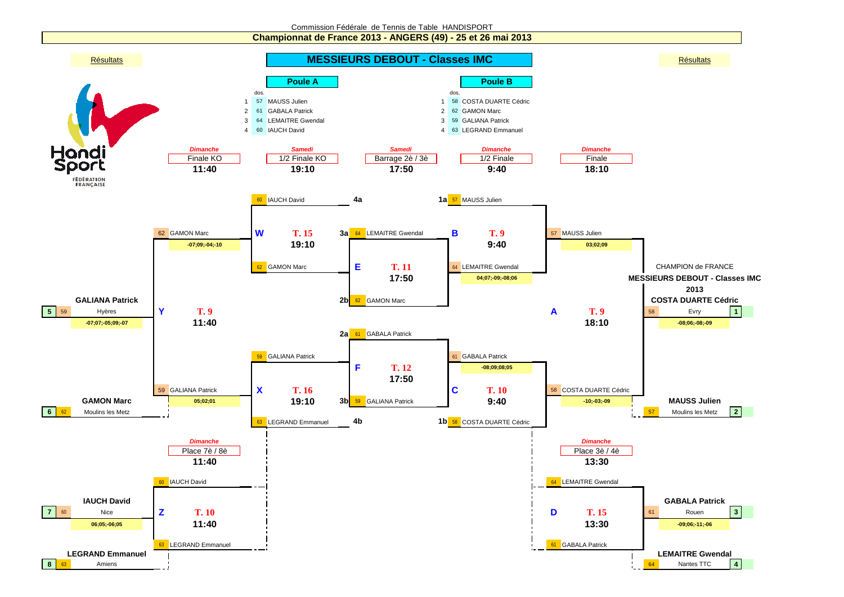

**Championnat de France 2013 - ANGERS (49) - 25 et 26 mai 2013**